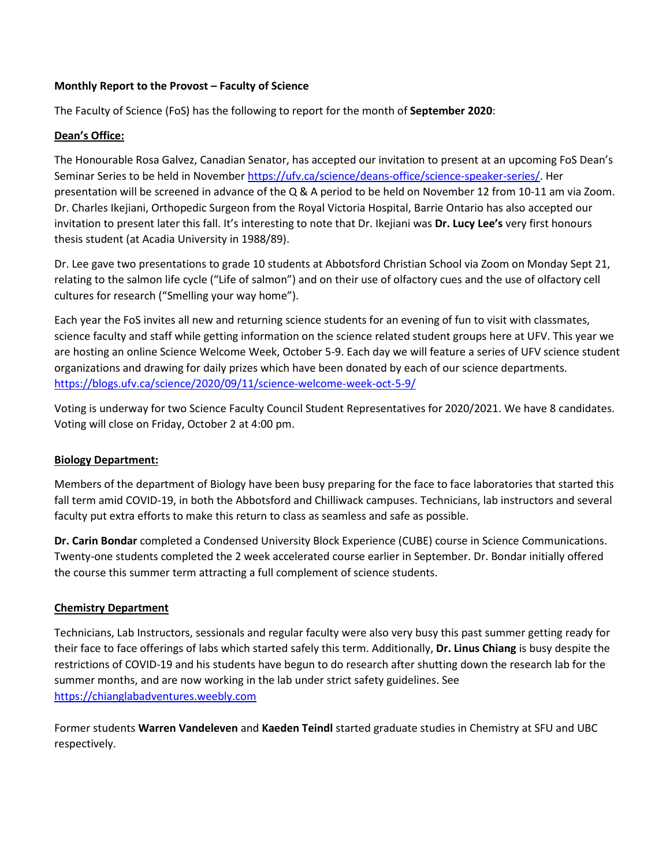#### **Monthly Report to the Provost – Faculty of Science**

The Faculty of Science (FoS) has the following to report for the month of **September 2020**:

# **Dean's Office:**

The Honourable Rosa Galvez, Canadian Senator, has accepted our invitation to present at an upcoming FoS Dean's Seminar Series to be held in November [https://ufv.ca/science/deans-office/science-speaker-series/.](https://ufv.ca/science/deans-office/science-speaker-series/) Her presentation will be screened in advance of the Q & A period to be held on November 12 from 10-11 am via Zoom. Dr. Charles Ikejiani, Orthopedic Surgeon from the Royal Victoria Hospital, Barrie Ontario has also accepted our invitation to present later this fall. It's interesting to note that Dr. Ikejiani was **Dr. Lucy Lee's** very first honours thesis student (at Acadia University in 1988/89).

Dr. Lee gave two presentations to grade 10 students at Abbotsford Christian School via Zoom on Monday Sept 21, relating to the salmon life cycle ("Life of salmon") and on their use of olfactory cues and the use of olfactory cell cultures for research ("Smelling your way home").

Each year the FoS invites all new and returning science students for an evening of fun to visit with classmates, science faculty and staff while getting information on the science related student groups here at UFV. This year we are hosting an online Science Welcome Week, October 5-9. Each day we will feature a series of UFV science student organizations and drawing for daily prizes which have been donated by each of our science departments. <https://blogs.ufv.ca/science/2020/09/11/science-welcome-week-oct-5-9/>

Voting is underway for two Science Faculty Council Student Representatives for 2020/2021. We have 8 candidates. Voting will close on Friday, October 2 at 4:00 pm.

# **Biology Department:**

Members of the department of Biology have been busy preparing for the face to face laboratories that started this fall term amid COVID-19, in both the Abbotsford and Chilliwack campuses. Technicians, lab instructors and several faculty put extra efforts to make this return to class as seamless and safe as possible.

**Dr. Carin Bondar** completed a Condensed University Block Experience (CUBE) course in Science Communications. Twenty-one students completed the 2 week accelerated course earlier in September. Dr. Bondar initially offered the course this summer term attracting a full complement of science students.

# **Chemistry Department**

Technicians, Lab Instructors, sessionals and regular faculty were also very busy this past summer getting ready for their face to face offerings of labs which started safely this term. Additionally, **Dr. Linus Chiang** is busy despite the restrictions of COVID-19 and his students have begun to do research after shutting down the research lab for the summer months, and are now working in the lab under strict safety guidelines. See [https://chianglabadventures.weebly.com](https://chianglabadventures.weebly.com/)

Former students **Warren Vandeleven** and **Kaeden Teindl** started graduate studies in Chemistry at SFU and UBC respectively.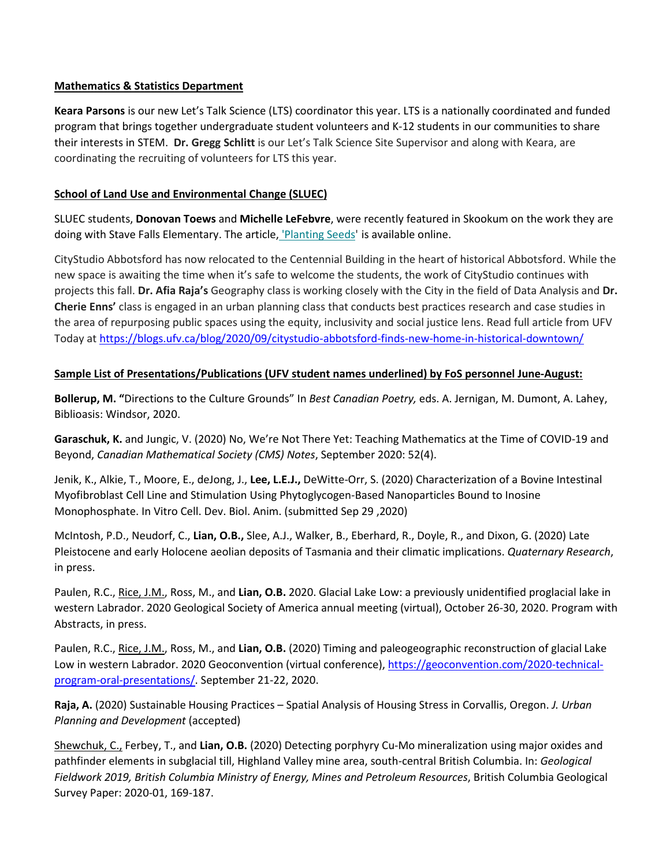#### **Mathematics & Statistics Department**

**Keara Parsons** is our new Let's Talk Science (LTS) coordinator this year. LTS is a nationally coordinated and funded program that brings together undergraduate student volunteers and K-12 students in our communities to share their interests in STEM. **Dr. Gregg Schlitt** is our Let's Talk Science Site Supervisor and along with Keara, are coordinating the recruiting of volunteers for LTS this year.

### **School of Land Use and Environmental Change (SLUEC)**

SLUEC students, **Donovan Toews** and **Michelle LeFebvre**, were recently featured in Skookum on the work they are doing with Stave Falls Elementary. The article, ['Planting Seeds'](https://ufv.us10.list-manage.com/track/click?u=74ba91cae709ef0e1a9ac971e&id=86b13dc730&e=0d265f7e31) is available online.

CityStudio Abbotsford has now relocated to the Centennial Building in the heart of historical Abbotsford. While the new space is awaiting the time when it's safe to welcome the students, the work of CityStudio continues with projects this fall. **Dr. Afia Raja's** Geography class is working closely with the City in the field of Data Analysis and **Dr. Cherie Enns'** class is engaged in an urban planning class that conducts best practices research and case studies in the area of repurposing public spaces using the equity, inclusivity and social justice lens. Read full article from UFV Today at <https://blogs.ufv.ca/blog/2020/09/citystudio-abbotsford-finds-new-home-in-historical-downtown/>

#### **Sample List of Presentations/Publications (UFV student names underlined) by FoS personnel June-August:**

**Bollerup, M. "**Directions to the Culture Grounds" In *Best Canadian Poetry,* eds. A. Jernigan, M. Dumont, A. Lahey, Biblioasis: Windsor, 2020.

**Garaschuk, K.** and Jungic, V. (2020) No, We're Not There Yet: Teaching Mathematics at the Time of COVID-19 and Beyond, *Canadian Mathematical Society (CMS) Notes*, September 2020: 52(4).

Jenik, K., Alkie, T., Moore, E., deJong, J., **Lee, L.E.J.,** DeWitte-Orr, S. (2020) Characterization of a Bovine Intestinal Myofibroblast Cell Line and Stimulation Using Phytoglycogen-Based Nanoparticles Bound to Inosine Monophosphate. In Vitro Cell. Dev. Biol. Anim. (submitted Sep 29 ,2020)

McIntosh, P.D., Neudorf, C., **Lian, O.B.,** Slee, A.J., Walker, B., Eberhard, R., Doyle, R., and Dixon, G. (2020) Late Pleistocene and early Holocene aeolian deposits of Tasmania and their climatic implications. *Quaternary Research*, in press.

Paulen, R.C., Rice, J.M., Ross, M., and **Lian, O.B.** 2020. Glacial Lake Low: a previously unidentified proglacial lake in western Labrador. 2020 Geological Society of America annual meeting (virtual), October 26-30, 2020. Program with Abstracts, in press.

Paulen, R.C., Rice, J.M., Ross, M., and **Lian, O.B.** (2020) Timing and paleogeographic reconstruction of glacial Lake Low in western Labrador. 2020 Geoconvention (virtual conference)[, https://geoconvention.com/2020-technical](https://geoconvention.com/2020-technical-program-oral-presentations/)[program-oral-presentations/.](https://geoconvention.com/2020-technical-program-oral-presentations/) September 21-22, 2020.

**Raja, A.** (2020) Sustainable Housing Practices – Spatial Analysis of Housing Stress in Corvallis, Oregon. *J. Urban Planning and Development* (accepted)

Shewchuk, C., Ferbey, T., and **Lian, O.B.** (2020) Detecting porphyry Cu-Mo mineralization using major oxides and pathfinder elements in subglacial till, Highland Valley mine area, south-central British Columbia. In: *Geological Fieldwork 2019, British Columbia Ministry of Energy, Mines and Petroleum Resources*, British Columbia Geological Survey Paper: 2020-01, 169-187.